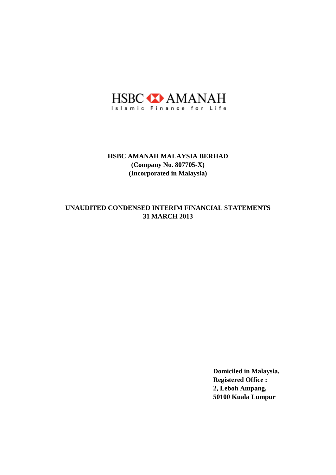

## **31 MARCH 2013 UNAUDITED CONDENSED INTERIM FINANCIAL STATEMENTS**

**Domiciled in Malaysia. Registered Office : 2, Leboh Ampang, 50100 Kuala Lumpur**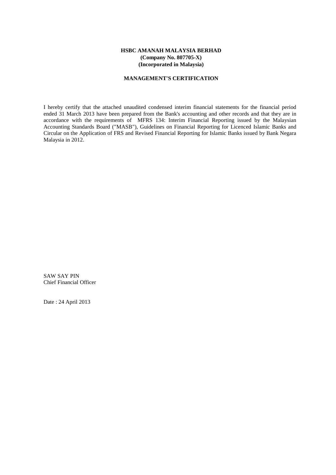## **MANAGEMENT'S CERTIFICATION**

I hereby certify that the attached unaudited condensed interim financial statements for the financial period ended 31 March 2013 have been prepared from the Bank's accounting and other records and that they are in accordance with the requirements of MFRS 134: Interim Financial Reporting issued by the Malaysian Accounting Standards Board ("MASB"), Guidelines on Financial Reporting for Licenced Islamic Banks and Circular on the Application of FRS and Revised Financial Reporting for Islamic Banks issued by Bank Negara Malaysia in 2012.

SAW SAY PIN Chief Financial Officer

Date : 24 April 2013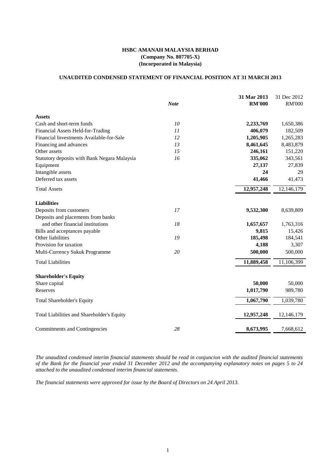# **UNAUDITED CONDENSED STATEMENT OF FINANCIAL POSITION AT 31 MARCH 2013**

|                                                     | <b>Note</b> | 31 Mar 2013<br><b>RM'000</b> | 31 Dec 2012<br><b>RM'000</b> |
|-----------------------------------------------------|-------------|------------------------------|------------------------------|
| <b>Assets</b>                                       |             |                              |                              |
| Cash and short-term funds                           | 10          | 2,233,769                    | 1,650,386                    |
| Financial Assets Held-for-Trading                   | 11          | 406,079                      | 182,509                      |
| Financial Investments Available-for-Sale            | 12          | 1,205,905                    | 1,265,283                    |
| Financing and advances                              | 13          | 8,461,645                    | 8,483,879                    |
| Other assets                                        | 15          | 246,161                      | 151,220                      |
| <b>Statutory deposits with Bank Negara Malaysia</b> | 16          | 335,062                      | 343,561                      |
| Equipment                                           |             | 27,137                       | 27,839                       |
| Intangible assets                                   |             | 24                           | 29                           |
| Deferred tax assets                                 |             | 41,466                       | 41,473                       |
| <b>Total Assets</b>                                 |             | 12,957,248                   | 12,146,179                   |
| <b>Liabilities</b>                                  |             |                              |                              |
| Deposits from customers                             | 17          | 9,532,300                    | 8,639,809                    |
| Deposits and placements from banks                  |             |                              |                              |
| and other financial institutions                    | 18          | 1,657,657                    | 1,763,316                    |
| Bills and acceptances payable                       |             | 9,815                        | 15,426                       |
| Other liabilities                                   | 19          | 185,498                      | 184,541                      |
| Provision for taxation                              |             | 4,188                        | 3,307                        |
| Multi-Currency Sukuk Programme                      | 20          | 500,000                      | 500,000                      |
| <b>Total Liabilities</b>                            |             | 11,889,458                   | 11,106,399                   |
| <b>Shareholder's Equity</b>                         |             |                              |                              |
| Share capital                                       |             | 50,000                       | 50,000                       |
| Reserves                                            |             | 1,017,790                    | 989,780                      |
| <b>Total Shareholder's Equity</b>                   |             | 1,067,790                    | 1,039,780                    |
| Total Liabilities and Shareholder's Equity          |             | 12,957,248                   | 12,146,179                   |
| <b>Commitments and Contingencies</b>                | 28          | 8,673,995                    | 7,668,612                    |

The unaudited condensed interim financial statements should be read in conjuncion with the audited financial statements of the Bank for the financial year ended 31 December 2012 and the accompanying explanatory notes on pages 5 to 24 *attached to the unaudited condensed interim financial statements.*

*The financial statements were approved for issue by the Board of Directors on 24 April 2013.*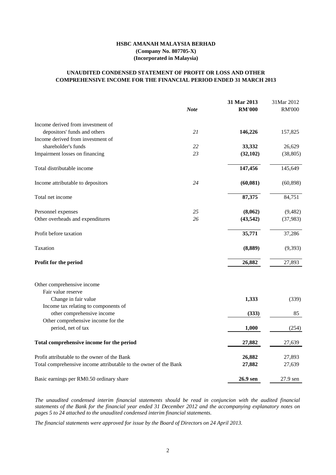|                                           | <b>Note</b> | 31 Mar 2013<br><b>RM'000</b> | 31Mar 2012<br><b>RM'000</b> |
|-------------------------------------------|-------------|------------------------------|-----------------------------|
|                                           |             |                              |                             |
| Income derived from investment of         |             |                              |                             |
| depositors' funds and others              | 21          | 146,226                      | 157,825                     |
| Income derived from investment of         |             |                              |                             |
| shareholder's funds                       | 22          | 33,332                       | 26,629                      |
| Impairment losses on financing            | 23          | (32,102)                     | (38, 805)                   |
| Total distributable income                |             | 147,456                      | 145,649                     |
| Income attributable to depositors         | 24          | (60, 081)                    | (60, 898)                   |
| Total net income                          |             | 87,375                       | 84,751                      |
| Personnel expenses                        | 25          | (8,062)                      | (9,482)                     |
| Other overheads and expenditures          | 26          | (43, 542)                    | (37, 983)                   |
| Profit before taxation                    |             | 35,771                       | 37,286                      |
| Taxation                                  |             | (8,889)                      | (9,393)                     |
| <b>Profit for the period</b>              |             | 26,882                       | 27,893                      |
| Other comprehensive income                |             |                              |                             |
| Fair value reserve                        |             |                              |                             |
| Change in fair value                      |             | 1,333                        | (339)                       |
| Income tax relating to components of      |             |                              |                             |
| other comprehensive income                |             | (333)                        | 85                          |
| Other comprehensive income for the        |             |                              |                             |
| period, net of tax                        |             | 1,000                        | (254)                       |
| Total comprehensive income for the period |             | 27,882                       | 27,639                      |

| Basic earnings per RM0.50 ordinary share                         | <b>26.9 sen</b> | 27.9 sen |
|------------------------------------------------------------------|-----------------|----------|
| Total comprehensive income attributable to the owner of the Bank | 27,882          | 27,639   |
| Profit attributable to the owner of the Bank                     | 26,882          | 27,893   |

# **COMPREHENSIVE INCOME FOR THE FINANCIAL PERIOD ENDED 31 MARCH 2013 UNAUDITED CONDENSED STATEMENT OF PROFIT OR LOSS AND OTHER**

# **HSBC AMANAH MALAYSIA BERHAD (Company No. 807705-X) (Incorporated in Malaysia)**

*The unaudited condensed interim financial statements should be read in conjuncion with the audited financial* statements of the Bank for the financial year ended 31 December 2012 and the accompanying explanatory notes on *pages 5 to 24 attached to the unaudited condensed interim financial statements.*

*The financial statements were approved for issue by the Board of Directors on 24 April 2013.*

2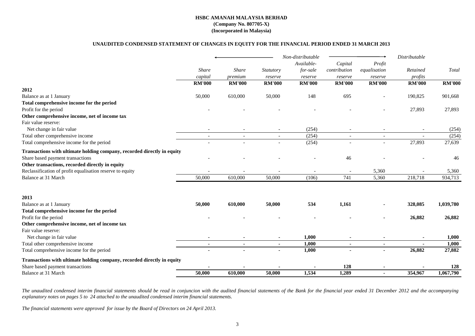## **UNAUDITED CONDENSED STATEMENT OF CHANGES IN EQUITY FOR THE FINANCIAL PERIOD ENDED 31 MARCH 2013**

|                                                                         |               |               |                | Non-distributable |                |                | Distributable            |               |
|-------------------------------------------------------------------------|---------------|---------------|----------------|-------------------|----------------|----------------|--------------------------|---------------|
|                                                                         |               |               |                | Available-        | Capital        | Profit         |                          |               |
|                                                                         | <b>Share</b>  | <b>Share</b>  | Statutory      | for-sale          | contribution   | equalisation   | Retained                 | Total         |
|                                                                         | capital       | premium       | reserve        | reserve           | reserve        | reserve        | profits                  |               |
|                                                                         | <b>RM'000</b> | <b>RM'000</b> | <b>RM'000</b>  | <b>RM'000</b>     | <b>RM'000</b>  | <b>RM'000</b>  | <b>RM'000</b>            | <b>RM'000</b> |
| 2012                                                                    |               |               |                |                   |                |                |                          |               |
| Balance as at 1 January                                                 | 50,000        | 610,000       | 50,000         | 148               | 695            |                | 190,825                  | 901,668       |
| Total comprehensive income for the period                               |               |               |                |                   |                |                |                          |               |
| Profit for the period                                                   |               |               |                |                   |                |                | 27,893                   | 27,893        |
| Other comprehensive income, net of income tax                           |               |               |                |                   |                |                |                          |               |
| Fair value reserve:                                                     |               |               |                |                   |                |                |                          |               |
| Net change in fair value                                                |               |               |                | (254)             |                |                |                          | (254)         |
| Total other comprehensive income                                        | $\sim$        | $\sim$        | $\sim$         | (254)             | $\sim$         | $\sim$         | $\overline{\phantom{a}}$ | (254)         |
| Total comprehensive income for the period                               |               |               |                | (254)             |                |                | 27,893                   | 27,639        |
| Transactions with ultimate holding company, recorded directly in equity |               |               |                |                   |                |                |                          |               |
| Share based payment transactions                                        |               |               |                |                   | 46             |                |                          | 46            |
| Other transactions, recorded directly in equity                         |               |               |                |                   |                |                |                          |               |
| Reclassification of profit equalisation reserve to equity               |               |               |                |                   |                | 5,360          |                          | 5,360         |
| <b>Balance at 31 March</b>                                              | 50,000        | 610,000       | 50,000         | (106)             | 741            | 5,360          | 218,718                  | 934,713       |
| 2013                                                                    |               |               |                |                   |                |                |                          |               |
| Balance as at 1 January                                                 | 50,000        | 610,000       | 50,000         | 534               | 1,161          |                | 328,085                  | 1,039,780     |
| Total comprehensive income for the period                               |               |               |                |                   |                |                |                          |               |
| Profit for the period                                                   |               |               |                |                   |                |                | 26,882                   | 26,882        |
| Other comprehensive income, net of income tax                           |               |               |                |                   |                |                |                          |               |
| Fair value reserve:                                                     |               |               |                |                   |                |                |                          |               |
| Net change in fair value                                                |               |               |                | 1,000             |                |                |                          | 1,000         |
| Total other comprehensive income                                        | $\sim$        | $\sim$        | $\blacksquare$ | 1,000             | $\blacksquare$ | $\blacksquare$ |                          | 1,000         |
| Total comprehensive income for the period                               |               |               |                | 1,000             |                | $\blacksquare$ | 26,882                   | 27,882        |
| Transactions with ultimate holding company, recorded directly in equity |               |               |                |                   |                |                |                          |               |
| Share based payment transactions                                        |               |               |                |                   | 128            |                |                          | 128           |
| <b>Balance at 31 March</b>                                              | 50,000        | 610,000       | 50,000         | 1,534             | 1,289          |                | 354,967                  | 1,067,790     |

The unaudited condensed interim financial statements should be read in conjuncion with the audited financial statements of the Bank for the financial year ended 31 December 2012 and the accompanying *explanatory notes on pages 5 to 24 attached to the unaudited condensed interim financial statements.*

*The financial statements were approved for issue by the Board of Directors on 24 April 2013.*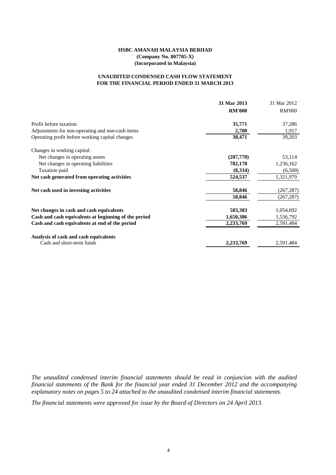## **FOR THE FINANCIAL PERIOD ENDED 31 MARCH 2013 UNAUDITED CONDENSED CASH FLOW STATEMENT**

|                                                      | 31 Mar 2013   | 31 Mar 2012   |
|------------------------------------------------------|---------------|---------------|
|                                                      | <b>RM'000</b> | <b>RM'000</b> |
| Profit before taxation                               | 35,771        | 37,286        |
| Adjustments for non-operating and non-cash items     | 2,700         | 1,917         |
| Operating profit before working capital changes      | 38,471        | 39,203        |
| Changes in working capital:                          |               |               |
| Net changes in operating assets                      | (287,778)     | 53,114        |
| Net changes in operating liabilities                 | 782,178       | 1,236,162     |
| Taxation paid                                        | (8, 334)      | (6,500)       |
| Net cash generated from operating activities         | 524,537       | 1,321,979     |
| Net cash used in investing activities                | 58,846        | (267, 287)    |
|                                                      | 58,846        | (267, 287)    |
| Net changes in cash and cash equivalents             | 583,383       | 1,054,692     |
| Cash and cash equivalents at beginning of the period | 1,650,386     | 1,536,792     |
| Cash and cash equivalents at end of the period       | 2,233,769     | 2,591,484     |
| Analysis of cash and cash equivalents                |               |               |
| Cash and short-term funds                            | 2,233,769     | 2,591,484     |

*The unaudited condensed interim financial statements should be read in conjuncion with the audited financial statements of the Bank for the financial year ended 31 December 2012 and the accompanying explanatory notes on pages 5 to 24 attached to the unaudited condensed interim financial statements.*

*The financial statements were approved for issue by the Board of Directors on 24 April 2013.*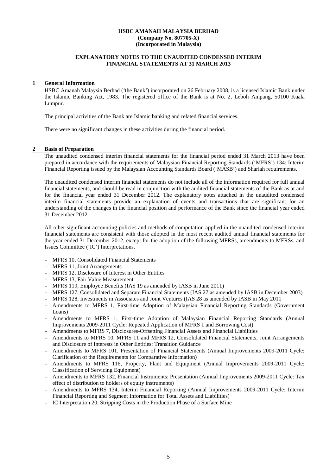#### **EXPLANATORY NOTES TO THE UNAUDITED CONDENSED INTERIM FINANCIAL STATEMENTS AT 31 MARCH 2013**

#### **1 General Information**

HSBC Amanah Malaysia Berhad ('the Bank') incorporated on 26 February 2008, is a licensed Islamic Bank under the Islamic Banking Act, 1983. The registered office of the Bank is at No. 2, Leboh Ampang, 50100 Kuala Lumpur.

The principal activities of the Bank are Islamic banking and related financial services.

There were no significant changes in these activities during the financial period.

#### **2 Basis of Preparation**

The unaudited condensed interim financial statements for the financial period ended 31 March 2013 have been prepared in accordance with the requirements of Malaysian Financial Reporting Standards ('MFRS') 134: Interim Financial Reporting issued by the Malaysian Accounting Standards Board ('MASB') and Shariah requirements.

The unaudited condensed interim financial statements do not include all of the information required for full annual financial statements, and should be read in conjunction with the audited financial statements of the Bank as at and for the financial year ended 31 December 2012. The explanatory notes attached in the unaudited condensed interim financial statements provide an explanation of events and transactions that are significant for an understanding of the changes in the financial position and performance of the Bank since the financial year ended 31 December 2012.

All other significant accounting policies and methods of computation applied in the unaudited condensed interim financial statements are consistent with those adopted in the most recent audited annual financial statements for the year ended 31 December 2012, except for the adoption of the following MFRSs, amendments to MFRSs, and Issues Committee ('IC') Interpretations.

- MFRS 10, Consolidated Financial Statements
- MFRS 11, Joint Arrangements
- MFRS 12, Disclosure of Interest in Other Entities
- MFRS 13, Fair Value Measurement
- MFRS 119, Employee Benefits (IAS 19 as amended by IASB in June 2011)
- MFRS 127, Consolidated and Separate Financial Statements (IAS 27 as amended by IASB in December 2003)
- MFRS 128, Investments in Associates and Joint Ventures (IAS 28 as amended by IASB in May 2011
- Amendments to MFRS 1, First-time Adoption of Malaysian Financial Reporting Standards (Government Loans)
- Amendments to MFRS 1, First-time Adoption of Malaysian Financial Reporting Standards (Annual Improvements 2009-2011 Cycle: Repeated Application of MFRS 1 and Borrowing Cost)
- Amendments to MFRS 7, Disclosures-Offsetting Financial Assets and Financial Liabilities
- Amendments to MFRS 10, MFRS 11 and MFRS 12, Consolidated Financial Statements, Joint Arrangements and Disclosure of Interests in Other Entities: Transition Guidance
- Amendments to MFRS 101, Presentation of Financial Statements (Annual Improvements 2009-2011 Cycle: Clarification of the Requirements for Comparative Information)
- Amendments to MFRS 116, Property, Plant and Equipment (Annual Improvements 2009-2011 Cycle: Classification of Servicing Equipment)
- Amendments to MFRS 132, Financial Instruments: Presentation (Annual Improvements 2009-2011 Cycle: Tax effect of distribution to holders of equity instruments)
- Amendments to MFRS 134, Interim Financial Reporting (Annual Improvements 2009-2011 Cycle: Interim Financial Reporting and Segment Information for Total Assets and Liabilities)
- IC Interpretation 20, Stripping Costs in the Production Phase of a Surface Mine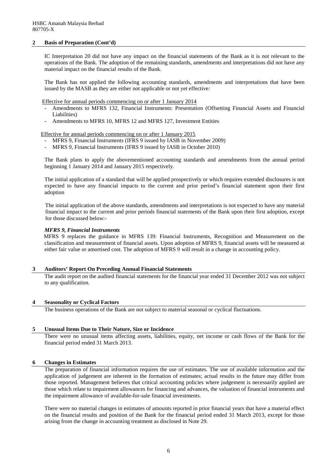## **2 Basis of Preparation (Cont'd)**

IC Interpretation 20 did not have any impact on the financial statements of the Bank as it is not relevant to the operations of the Bank. The adoption of the remaining standards, amendments and interpretations did not have any material impact on the financial results of the Bank.

The Bank has not applied the following accounting standards, amendments and interpretations that have been issued by the MASB as they are either not applicable or not yet effective:

Effective for annual periods commencing on or after 1 January 2014

- Amendments to MFRS 132, Financial Instruments: Presentation (Offsetting Financial Assets and Financial Liabilities)
- Amendments to MFRS 10, MFRS 12 and MFRS 127, Investment Entities

Effective for annual periods commencing on or after 1 January 2015

- MFRS 9, Financial Instruments (IFRS 9 issued by IASB in November 2009)
- MFRS 9, Financial Instruments (IFRS 9 issued by IASB in October 2010)

The Bank plans to apply the abovementioned accounting standards and amendments from the annual period beginning 1 January 2014 and January 2015 respectively.

The initial application of a standard that will be applied prospectively or which requires extended disclosures is not expected to have any financial impacts to the current and prior period's financial statement upon their first adoption

The initial application of the above standards, amendments and interpretations is not expected to have any material financial impact to the current and prior periods financial statements of the Bank upon their first adoption, except for those discussed below:-

#### *MFRS 9, Financial Instruments*

MFRS 9 replaces the guidance in MFRS 139: Financial Instruments, Recognition and Measurement on the classification and measurement of financial assets. Upon adoption of MFRS 9, financial assets will be measured at either fair value or amortised cost. The adoption of MFRS 9 will result in a change in accounting policy.

## **3 Auditors' Report On Preceding Annual Financial Statements**

The audit report on the audited financial statements for the financial year ended 31 December 2012 was not subject to any qualification.

## **4 Seasonality or Cyclical Factors**

The business operations of the Bank are not subject to material seasonal or cyclical fluctuations.

## **5 Unusual Items Due to Their Nature, Size or Incidence**

There were no unusual items affecting assets, liabilities, equity, net income or cash flows of the Bank for the financial period ended 31 March 2013.

#### **6 Changes in Estimates**

The preparation of financial information requires the use of estimates. The use of available information and the application of judgement are inherent in the formation of estimates; actual results in the future may differ from those reported. Management believes that critical accounting policies where judgement is necessarily applied are those which relate to impairment allowances for financing and advances, the valuation of financial instruments and the impairment allowance of available-for-sale financial investments.

There were no material changes in estimates of amounts reported in prior financial years that have a material effect on the financial results and position of the Bank for the financial period ended 31 March 2013, except for those arising from the change in accounting treatment as disclosed in Note 29.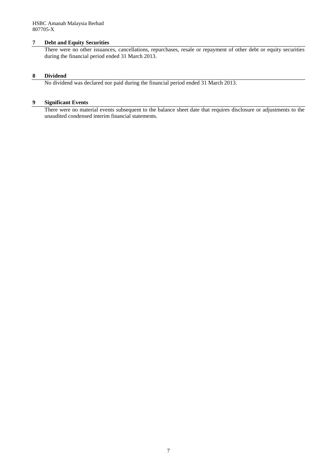## **7 Debt and Equity Securities**

There were no other issuances, cancellations, repurchases, resale or repayment of other debt or equity securities during the financial period ended 31 March 2013.

## **8 Dividend**

No dividend was declared nor paid during the financial period ended 31 March 2013.

## **9 Significant Events**

There were no material events subsequent to the balance sheet date that requires disclosure or adjustments to the unaudited condensed interim financial statements.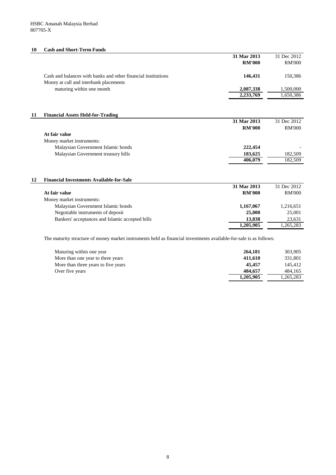## **10 Cash and Short-Term Funds**

|                                                                                                         | 31 Mar 2013<br><b>RM'000</b> | 31 Dec 2012<br><b>RM'000</b> |
|---------------------------------------------------------------------------------------------------------|------------------------------|------------------------------|
| Cash and balances with banks and other financial institutions<br>Money at call and interbank placements | 146,431                      | 150,386                      |
| maturing within one month                                                                               | 2,087,338                    | 1,500,000                    |
|                                                                                                         | 2,233,769                    | 1,650,386                    |

## **11 Financial Assets Held-for-Trading**

| I mancial repocts from for framing  |               |               |
|-------------------------------------|---------------|---------------|
|                                     | 31 Mar 2013   | 31 Dec 2012   |
|                                     | <b>RM'000</b> | <b>RM'000</b> |
| At fair value                       |               |               |
| Money market instruments:           |               |               |
| Malaysian Government Islamic bonds  | 222,454       |               |
| Malaysian Government treasury bills | 183,625       | 182,509       |
|                                     | 406,079       | 182,509       |
|                                     |               |               |

# **12 Financial Investments Available-for-Sale**

|                                                 | 31 Mar 2013   | 31 Dec 2012   |
|-------------------------------------------------|---------------|---------------|
| At fair value                                   | <b>RM'000</b> | <b>RM'000</b> |
| Money market instruments:                       |               |               |
| Malaysian Government Islamic bonds              | 1,167,067     | 1,216,651     |
| Negotiable instruments of deposit               | 25,000        | 25,001        |
| Bankers' acceptances and Islamic accepted bills | 13,838        | 23,631        |
|                                                 | 1,205,905     | 1,265,283     |

The maturity structure of money market instruments held as financial investments available-for-sale is as follows:

| Maturing within one year            | 264,181   | 303,905   |
|-------------------------------------|-----------|-----------|
| More than one year to three years   | 411,610   | 331,801   |
| More than three years to five years | 45,457    | 145,412   |
| Over five years                     | 484,657   | 484,165   |
|                                     | 1,205,905 | 1,265,283 |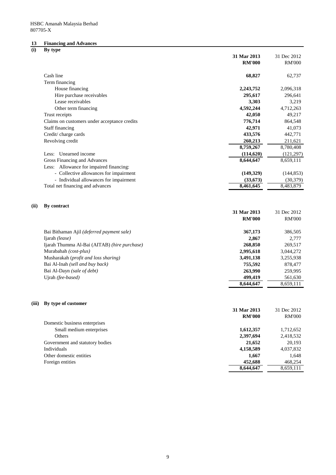## **13 Financing and Advances**

## **(i) By type**

|       | $\sim$                                       | 31 Mar 2013<br><b>RM'000</b> | 31 Dec 2012<br><b>RM'000</b> |
|-------|----------------------------------------------|------------------------------|------------------------------|
|       | Cash line                                    | 68,827                       | 62,737                       |
|       | Term financing                               |                              |                              |
|       | House financing                              | 2,243,752                    | 2,096,318                    |
|       | Hire purchase receivables                    | 295,617                      | 296,641                      |
|       | Lease receivables                            | 3,303                        | 3,219                        |
|       | Other term financing                         | 4,592,244                    | 4,712,263                    |
|       | Trust receipts                               | 42,050                       | 49,217                       |
|       | Claims on customers under acceptance credits | 776,714                      | 864,548                      |
|       | <b>Staff financing</b>                       | 42,971                       | 41,073                       |
|       | Credit/charge cards                          | 433,576                      | 442,771                      |
|       | Revolving credit                             | 260,213                      | 211,621                      |
|       |                                              | 8,759,267                    | 8,780,408                    |
|       | Unearned income<br>Less:                     | (114, 620)                   | (121, 297)                   |
|       | <b>Gross Financing and Advances</b>          | 8,644,647                    | 8,659,111                    |
|       | Less: Allowance for impaired financing:      |                              |                              |
|       | - Collective allowances for impairment       | (149, 329)                   | (144, 853)                   |
|       | - Individual allowances for impairment       | (33, 673)                    | (30, 379)                    |
|       | Total net financing and advances             | 8,461,645                    | 8,483,879                    |
| (ii)  | By contract                                  | 31 Mar 2013<br><b>RM'000</b> | 31 Dec 2012<br><b>RM'000</b> |
|       | Bai Bithaman Ajil (deferred payment sale)    | 367,173                      | 386,505                      |
|       | Ijarah (lease)                               | 2,867                        | 2,777                        |
|       | Ijarah Thumma Al-Bai (AITAB) (hire purchase) | 268,850                      | 269,517                      |
|       | Murabahah (cost-plus)                        | 2,995,618                    | 3,044,272                    |
|       | Musharakah (profit and loss sharing)         | 3,491,138                    | 3,255,938                    |
|       | Bai Al-Inah (sell and buy back)              | 755,592                      | 878,477                      |
|       | Bai Al-Dayn (sale of debt)                   | 263,990                      | 259,995                      |
|       | Ujrah (fee-based)                            | 499,419                      | 561,630                      |
|       |                                              | 8,644,647                    | 8,659,111                    |
| (iii) | By type of customer                          |                              |                              |
|       |                                              | 31 Mar 2013                  | 31 Dec 2012                  |
|       |                                              | <b>RM'000</b>                | <b>RM'000</b>                |
|       | Domestic business enterprises                |                              |                              |
|       | Small medium enterprises                     | 1,612,357                    | 1,712,652                    |
|       | Others                                       | 2,397,694                    | 2,418,532                    |
|       | Government and statutory bodies              | 21,652                       | 20,193                       |
|       | Individuals                                  | 4,158,589                    | 4,037,832                    |
|       | Other domestic entities                      | 1,667                        | 1,648                        |
|       | Foreign entities                             | 452,688                      | 468,254                      |
|       |                                              | 8,644,647                    | 8,659,111                    |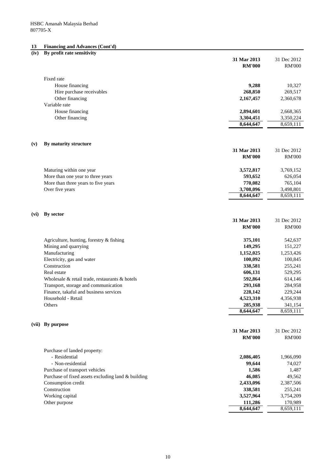## **13 Financing and Advances (Cont'd)**

| 31 Mar 2013<br>31 Dec 2012<br><b>RM'000</b><br><b>RM'000</b><br>Fixed rate<br>House financing<br>9,288<br>10,327<br>268,850<br>Hire purchase receivables<br>269,517<br>Other financing<br>2,167,457<br>2,360,678<br>Variable rate<br>House financing<br>2,894,601<br>2,668,365<br>Other financing<br>3,350,224<br>3,304,451<br>8,644,647<br>8,659,111<br>By maturity structure<br>(v)<br>31 Mar 2013<br>31 Dec 2012<br><b>RM'000</b><br><b>RM'000</b><br>3,572,817<br>Maturing within one year<br>3,769,152<br>More than one year to three years<br>593,652<br>626,054<br>More than three years to five years<br>770,082<br>765,104<br>Over five years<br>3,708,096<br>3,498,801<br>8,644,647<br>8,659,111<br>By sector<br>(vi)<br>31 Mar 2013<br>31 Dec 2012<br><b>RM'000</b><br><b>RM'000</b><br>375,101<br>Agriculture, hunting, forestry & fishing<br>542,637<br>Mining and quarrying<br>149,295<br>151,227<br>Manufacturing<br>1,152,025<br>1,253,426<br>Electricity, gas and water<br>100,092<br>100,845<br>Construction<br>338,581<br>255,241<br>Real estate<br>606,131<br>529,295<br>592,864<br>Wholesale & retail trade, restaurants & hotels<br>614,146<br>293,168<br>Transport, storage and communication<br>284,958<br>Finance, takaful and business services<br>228,142<br>229,244<br>Household - Retail<br>4,523,310<br>4,356,938<br>285,938<br>Others<br>341,154<br>8,644,647<br>8,659,111<br>By purpose<br>(vii)<br>31 Mar 2013<br>31 Dec 2012<br><b>RM'000</b><br><b>RM'000</b><br>Purchase of landed property:<br>- Residential<br>2,086,405<br>1,966,090<br>- Non-residential<br>99,644<br>74,027<br>Purchase of transport vehicles<br>1,586<br>1,487<br>Purchase of fixed assets excluding land & building<br>46,085<br>49,562<br>Consumption credit<br>2,433,096<br>2,387,506<br>Construction<br>338,581<br>255,241<br>3,527,964<br>Working capital<br>3,754,209<br>Other purpose<br>111,286<br>170,989 | (iv) | By profit rate sensitivity |           |           |
|------------------------------------------------------------------------------------------------------------------------------------------------------------------------------------------------------------------------------------------------------------------------------------------------------------------------------------------------------------------------------------------------------------------------------------------------------------------------------------------------------------------------------------------------------------------------------------------------------------------------------------------------------------------------------------------------------------------------------------------------------------------------------------------------------------------------------------------------------------------------------------------------------------------------------------------------------------------------------------------------------------------------------------------------------------------------------------------------------------------------------------------------------------------------------------------------------------------------------------------------------------------------------------------------------------------------------------------------------------------------------------------------------------------------------------------------------------------------------------------------------------------------------------------------------------------------------------------------------------------------------------------------------------------------------------------------------------------------------------------------------------------------------------------------------------------------------------------------------------------------------------------------------------------------------|------|----------------------------|-----------|-----------|
|                                                                                                                                                                                                                                                                                                                                                                                                                                                                                                                                                                                                                                                                                                                                                                                                                                                                                                                                                                                                                                                                                                                                                                                                                                                                                                                                                                                                                                                                                                                                                                                                                                                                                                                                                                                                                                                                                                                              |      |                            |           |           |
|                                                                                                                                                                                                                                                                                                                                                                                                                                                                                                                                                                                                                                                                                                                                                                                                                                                                                                                                                                                                                                                                                                                                                                                                                                                                                                                                                                                                                                                                                                                                                                                                                                                                                                                                                                                                                                                                                                                              |      |                            |           |           |
|                                                                                                                                                                                                                                                                                                                                                                                                                                                                                                                                                                                                                                                                                                                                                                                                                                                                                                                                                                                                                                                                                                                                                                                                                                                                                                                                                                                                                                                                                                                                                                                                                                                                                                                                                                                                                                                                                                                              |      |                            |           |           |
|                                                                                                                                                                                                                                                                                                                                                                                                                                                                                                                                                                                                                                                                                                                                                                                                                                                                                                                                                                                                                                                                                                                                                                                                                                                                                                                                                                                                                                                                                                                                                                                                                                                                                                                                                                                                                                                                                                                              |      |                            |           |           |
|                                                                                                                                                                                                                                                                                                                                                                                                                                                                                                                                                                                                                                                                                                                                                                                                                                                                                                                                                                                                                                                                                                                                                                                                                                                                                                                                                                                                                                                                                                                                                                                                                                                                                                                                                                                                                                                                                                                              |      |                            |           |           |
|                                                                                                                                                                                                                                                                                                                                                                                                                                                                                                                                                                                                                                                                                                                                                                                                                                                                                                                                                                                                                                                                                                                                                                                                                                                                                                                                                                                                                                                                                                                                                                                                                                                                                                                                                                                                                                                                                                                              |      |                            |           |           |
|                                                                                                                                                                                                                                                                                                                                                                                                                                                                                                                                                                                                                                                                                                                                                                                                                                                                                                                                                                                                                                                                                                                                                                                                                                                                                                                                                                                                                                                                                                                                                                                                                                                                                                                                                                                                                                                                                                                              |      |                            |           |           |
|                                                                                                                                                                                                                                                                                                                                                                                                                                                                                                                                                                                                                                                                                                                                                                                                                                                                                                                                                                                                                                                                                                                                                                                                                                                                                                                                                                                                                                                                                                                                                                                                                                                                                                                                                                                                                                                                                                                              |      |                            |           |           |
|                                                                                                                                                                                                                                                                                                                                                                                                                                                                                                                                                                                                                                                                                                                                                                                                                                                                                                                                                                                                                                                                                                                                                                                                                                                                                                                                                                                                                                                                                                                                                                                                                                                                                                                                                                                                                                                                                                                              |      |                            |           |           |
|                                                                                                                                                                                                                                                                                                                                                                                                                                                                                                                                                                                                                                                                                                                                                                                                                                                                                                                                                                                                                                                                                                                                                                                                                                                                                                                                                                                                                                                                                                                                                                                                                                                                                                                                                                                                                                                                                                                              |      |                            |           |           |
|                                                                                                                                                                                                                                                                                                                                                                                                                                                                                                                                                                                                                                                                                                                                                                                                                                                                                                                                                                                                                                                                                                                                                                                                                                                                                                                                                                                                                                                                                                                                                                                                                                                                                                                                                                                                                                                                                                                              |      |                            |           |           |
|                                                                                                                                                                                                                                                                                                                                                                                                                                                                                                                                                                                                                                                                                                                                                                                                                                                                                                                                                                                                                                                                                                                                                                                                                                                                                                                                                                                                                                                                                                                                                                                                                                                                                                                                                                                                                                                                                                                              |      |                            |           |           |
|                                                                                                                                                                                                                                                                                                                                                                                                                                                                                                                                                                                                                                                                                                                                                                                                                                                                                                                                                                                                                                                                                                                                                                                                                                                                                                                                                                                                                                                                                                                                                                                                                                                                                                                                                                                                                                                                                                                              |      |                            |           |           |
|                                                                                                                                                                                                                                                                                                                                                                                                                                                                                                                                                                                                                                                                                                                                                                                                                                                                                                                                                                                                                                                                                                                                                                                                                                                                                                                                                                                                                                                                                                                                                                                                                                                                                                                                                                                                                                                                                                                              |      |                            |           |           |
|                                                                                                                                                                                                                                                                                                                                                                                                                                                                                                                                                                                                                                                                                                                                                                                                                                                                                                                                                                                                                                                                                                                                                                                                                                                                                                                                                                                                                                                                                                                                                                                                                                                                                                                                                                                                                                                                                                                              |      |                            |           |           |
|                                                                                                                                                                                                                                                                                                                                                                                                                                                                                                                                                                                                                                                                                                                                                                                                                                                                                                                                                                                                                                                                                                                                                                                                                                                                                                                                                                                                                                                                                                                                                                                                                                                                                                                                                                                                                                                                                                                              |      |                            |           |           |
|                                                                                                                                                                                                                                                                                                                                                                                                                                                                                                                                                                                                                                                                                                                                                                                                                                                                                                                                                                                                                                                                                                                                                                                                                                                                                                                                                                                                                                                                                                                                                                                                                                                                                                                                                                                                                                                                                                                              |      |                            |           |           |
|                                                                                                                                                                                                                                                                                                                                                                                                                                                                                                                                                                                                                                                                                                                                                                                                                                                                                                                                                                                                                                                                                                                                                                                                                                                                                                                                                                                                                                                                                                                                                                                                                                                                                                                                                                                                                                                                                                                              |      |                            |           |           |
|                                                                                                                                                                                                                                                                                                                                                                                                                                                                                                                                                                                                                                                                                                                                                                                                                                                                                                                                                                                                                                                                                                                                                                                                                                                                                                                                                                                                                                                                                                                                                                                                                                                                                                                                                                                                                                                                                                                              |      |                            |           |           |
|                                                                                                                                                                                                                                                                                                                                                                                                                                                                                                                                                                                                                                                                                                                                                                                                                                                                                                                                                                                                                                                                                                                                                                                                                                                                                                                                                                                                                                                                                                                                                                                                                                                                                                                                                                                                                                                                                                                              |      |                            |           |           |
|                                                                                                                                                                                                                                                                                                                                                                                                                                                                                                                                                                                                                                                                                                                                                                                                                                                                                                                                                                                                                                                                                                                                                                                                                                                                                                                                                                                                                                                                                                                                                                                                                                                                                                                                                                                                                                                                                                                              |      |                            |           |           |
|                                                                                                                                                                                                                                                                                                                                                                                                                                                                                                                                                                                                                                                                                                                                                                                                                                                                                                                                                                                                                                                                                                                                                                                                                                                                                                                                                                                                                                                                                                                                                                                                                                                                                                                                                                                                                                                                                                                              |      |                            |           |           |
|                                                                                                                                                                                                                                                                                                                                                                                                                                                                                                                                                                                                                                                                                                                                                                                                                                                                                                                                                                                                                                                                                                                                                                                                                                                                                                                                                                                                                                                                                                                                                                                                                                                                                                                                                                                                                                                                                                                              |      |                            |           |           |
|                                                                                                                                                                                                                                                                                                                                                                                                                                                                                                                                                                                                                                                                                                                                                                                                                                                                                                                                                                                                                                                                                                                                                                                                                                                                                                                                                                                                                                                                                                                                                                                                                                                                                                                                                                                                                                                                                                                              |      |                            |           |           |
|                                                                                                                                                                                                                                                                                                                                                                                                                                                                                                                                                                                                                                                                                                                                                                                                                                                                                                                                                                                                                                                                                                                                                                                                                                                                                                                                                                                                                                                                                                                                                                                                                                                                                                                                                                                                                                                                                                                              |      |                            |           |           |
|                                                                                                                                                                                                                                                                                                                                                                                                                                                                                                                                                                                                                                                                                                                                                                                                                                                                                                                                                                                                                                                                                                                                                                                                                                                                                                                                                                                                                                                                                                                                                                                                                                                                                                                                                                                                                                                                                                                              |      |                            |           |           |
|                                                                                                                                                                                                                                                                                                                                                                                                                                                                                                                                                                                                                                                                                                                                                                                                                                                                                                                                                                                                                                                                                                                                                                                                                                                                                                                                                                                                                                                                                                                                                                                                                                                                                                                                                                                                                                                                                                                              |      |                            |           |           |
|                                                                                                                                                                                                                                                                                                                                                                                                                                                                                                                                                                                                                                                                                                                                                                                                                                                                                                                                                                                                                                                                                                                                                                                                                                                                                                                                                                                                                                                                                                                                                                                                                                                                                                                                                                                                                                                                                                                              |      |                            |           |           |
|                                                                                                                                                                                                                                                                                                                                                                                                                                                                                                                                                                                                                                                                                                                                                                                                                                                                                                                                                                                                                                                                                                                                                                                                                                                                                                                                                                                                                                                                                                                                                                                                                                                                                                                                                                                                                                                                                                                              |      |                            |           |           |
|                                                                                                                                                                                                                                                                                                                                                                                                                                                                                                                                                                                                                                                                                                                                                                                                                                                                                                                                                                                                                                                                                                                                                                                                                                                                                                                                                                                                                                                                                                                                                                                                                                                                                                                                                                                                                                                                                                                              |      |                            |           |           |
|                                                                                                                                                                                                                                                                                                                                                                                                                                                                                                                                                                                                                                                                                                                                                                                                                                                                                                                                                                                                                                                                                                                                                                                                                                                                                                                                                                                                                                                                                                                                                                                                                                                                                                                                                                                                                                                                                                                              |      |                            |           |           |
|                                                                                                                                                                                                                                                                                                                                                                                                                                                                                                                                                                                                                                                                                                                                                                                                                                                                                                                                                                                                                                                                                                                                                                                                                                                                                                                                                                                                                                                                                                                                                                                                                                                                                                                                                                                                                                                                                                                              |      |                            |           |           |
|                                                                                                                                                                                                                                                                                                                                                                                                                                                                                                                                                                                                                                                                                                                                                                                                                                                                                                                                                                                                                                                                                                                                                                                                                                                                                                                                                                                                                                                                                                                                                                                                                                                                                                                                                                                                                                                                                                                              |      |                            |           |           |
|                                                                                                                                                                                                                                                                                                                                                                                                                                                                                                                                                                                                                                                                                                                                                                                                                                                                                                                                                                                                                                                                                                                                                                                                                                                                                                                                                                                                                                                                                                                                                                                                                                                                                                                                                                                                                                                                                                                              |      |                            |           |           |
|                                                                                                                                                                                                                                                                                                                                                                                                                                                                                                                                                                                                                                                                                                                                                                                                                                                                                                                                                                                                                                                                                                                                                                                                                                                                                                                                                                                                                                                                                                                                                                                                                                                                                                                                                                                                                                                                                                                              |      |                            |           |           |
|                                                                                                                                                                                                                                                                                                                                                                                                                                                                                                                                                                                                                                                                                                                                                                                                                                                                                                                                                                                                                                                                                                                                                                                                                                                                                                                                                                                                                                                                                                                                                                                                                                                                                                                                                                                                                                                                                                                              |      |                            |           |           |
|                                                                                                                                                                                                                                                                                                                                                                                                                                                                                                                                                                                                                                                                                                                                                                                                                                                                                                                                                                                                                                                                                                                                                                                                                                                                                                                                                                                                                                                                                                                                                                                                                                                                                                                                                                                                                                                                                                                              |      |                            |           |           |
|                                                                                                                                                                                                                                                                                                                                                                                                                                                                                                                                                                                                                                                                                                                                                                                                                                                                                                                                                                                                                                                                                                                                                                                                                                                                                                                                                                                                                                                                                                                                                                                                                                                                                                                                                                                                                                                                                                                              |      |                            |           |           |
|                                                                                                                                                                                                                                                                                                                                                                                                                                                                                                                                                                                                                                                                                                                                                                                                                                                                                                                                                                                                                                                                                                                                                                                                                                                                                                                                                                                                                                                                                                                                                                                                                                                                                                                                                                                                                                                                                                                              |      |                            |           |           |
|                                                                                                                                                                                                                                                                                                                                                                                                                                                                                                                                                                                                                                                                                                                                                                                                                                                                                                                                                                                                                                                                                                                                                                                                                                                                                                                                                                                                                                                                                                                                                                                                                                                                                                                                                                                                                                                                                                                              |      |                            |           |           |
|                                                                                                                                                                                                                                                                                                                                                                                                                                                                                                                                                                                                                                                                                                                                                                                                                                                                                                                                                                                                                                                                                                                                                                                                                                                                                                                                                                                                                                                                                                                                                                                                                                                                                                                                                                                                                                                                                                                              |      |                            |           |           |
|                                                                                                                                                                                                                                                                                                                                                                                                                                                                                                                                                                                                                                                                                                                                                                                                                                                                                                                                                                                                                                                                                                                                                                                                                                                                                                                                                                                                                                                                                                                                                                                                                                                                                                                                                                                                                                                                                                                              |      |                            |           |           |
|                                                                                                                                                                                                                                                                                                                                                                                                                                                                                                                                                                                                                                                                                                                                                                                                                                                                                                                                                                                                                                                                                                                                                                                                                                                                                                                                                                                                                                                                                                                                                                                                                                                                                                                                                                                                                                                                                                                              |      |                            |           |           |
|                                                                                                                                                                                                                                                                                                                                                                                                                                                                                                                                                                                                                                                                                                                                                                                                                                                                                                                                                                                                                                                                                                                                                                                                                                                                                                                                                                                                                                                                                                                                                                                                                                                                                                                                                                                                                                                                                                                              |      |                            |           |           |
|                                                                                                                                                                                                                                                                                                                                                                                                                                                                                                                                                                                                                                                                                                                                                                                                                                                                                                                                                                                                                                                                                                                                                                                                                                                                                                                                                                                                                                                                                                                                                                                                                                                                                                                                                                                                                                                                                                                              |      |                            |           |           |
|                                                                                                                                                                                                                                                                                                                                                                                                                                                                                                                                                                                                                                                                                                                                                                                                                                                                                                                                                                                                                                                                                                                                                                                                                                                                                                                                                                                                                                                                                                                                                                                                                                                                                                                                                                                                                                                                                                                              |      |                            |           |           |
|                                                                                                                                                                                                                                                                                                                                                                                                                                                                                                                                                                                                                                                                                                                                                                                                                                                                                                                                                                                                                                                                                                                                                                                                                                                                                                                                                                                                                                                                                                                                                                                                                                                                                                                                                                                                                                                                                                                              |      |                            |           |           |
|                                                                                                                                                                                                                                                                                                                                                                                                                                                                                                                                                                                                                                                                                                                                                                                                                                                                                                                                                                                                                                                                                                                                                                                                                                                                                                                                                                                                                                                                                                                                                                                                                                                                                                                                                                                                                                                                                                                              |      |                            | 8,644,647 | 8,659,111 |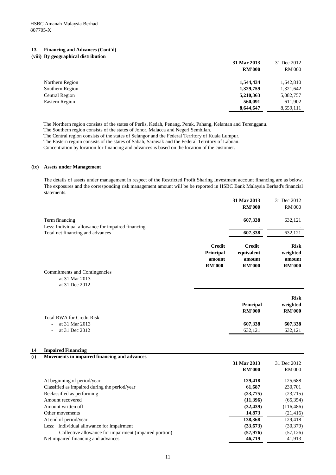| <b>Financing and Advances (Cont'd)</b><br>13 |               |               |
|----------------------------------------------|---------------|---------------|
| (viii) By geographical distribution          |               |               |
|                                              | 31 Mar 2013   | 31 Dec 2012   |
|                                              | <b>RM'000</b> | <b>RM'000</b> |
| Northern Region                              | 1,544,434     | 1,642,810     |
| Southern Region                              | 1,329,759     | 1,321,642     |
| <b>Central Region</b>                        | 5,210,363     | 5,082,757     |
| <b>Eastern Region</b>                        | 560,091       | 611,902       |
|                                              | 8,644,647     | 8,659,111     |

The Northern region consists of the states of Perlis, Kedah, Penang, Perak, Pahang, Kelantan and Terengganu.

The Southern region consists of the states of Johor, Malacca and Negeri Sembilan.

The Central region consists of the states of Selangor and the Federal Territory of Kuala Lumpur.

The Eastern region consists of the states of Sabah, Sarawak and the Federal Territory of Labuan.

Concentration by location for financing and advances is based on the location of the customer.

## **(ix) Assets under Management**

The details of assets under management in respect of the Restricted Profit Sharing Investment account financing are as below. The exposures and the corresponding risk management amount will be be reported in HSBC Bank Malaysia Berhad's financial statements.

|                                                                     |                                                       | 31 Mar 2013<br><b>RM'000</b>                           | 31 Dec 2012<br><b>RM'000</b>                       |
|---------------------------------------------------------------------|-------------------------------------------------------|--------------------------------------------------------|----------------------------------------------------|
| Term financing<br>Less: Individual allowance for impaired financing |                                                       | 607,338                                                | 632,121                                            |
| Total net financing and advances                                    |                                                       | 607,338                                                | 632,121                                            |
|                                                                     | <b>Credit</b><br>Principal<br>amount<br><b>RM'000</b> | <b>Credit</b><br>equivalent<br>amount<br><b>RM'000</b> | <b>Risk</b><br>weighted<br>amount<br><b>RM'000</b> |
| <b>Commitments and Contingencies</b>                                |                                                       |                                                        |                                                    |
| at 31 Mar 2013<br>at 31 Dec 2012                                    |                                                       |                                                        |                                                    |
|                                                                     |                                                       | <b>Principal</b><br><b>RM'000</b>                      | <b>Risk</b><br>weighted<br><b>RM'000</b>           |
| <b>Total RWA for Credit Risk</b>                                    |                                                       |                                                        |                                                    |
| at 31 Mar 2013<br>at 31 Dec 2012                                    |                                                       | 607,338<br>632,121                                     | 607,338<br>632,121                                 |

## **14 Impaired Financing**

**(i) Movements in impaired financing and advances**

|                                                        | 31 Mar 2013   | 31 Dec 2012   |
|--------------------------------------------------------|---------------|---------------|
|                                                        | <b>RM'000</b> | <b>RM'000</b> |
| At beginning of period/year                            | 129,418       | 125,688       |
| Classified as impaired during the period/year          | 61,687        | 230,701       |
| Reclassified as performing                             | (23,775)      | (23,715)      |
| Amount recovered                                       | (11,396)      | (65, 354)     |
| Amount written off                                     | (32, 439)     | (116, 486)    |
| Other movements                                        | 14,873        | (21, 416)     |
| At end of period/year                                  | 138,368       | 129,418       |
| Less: Individual allowance for impairment              | (33,673)      | (30, 379)     |
| Collective allowance for impairment (impaired portion) | (57, 976)     | (57, 126)     |
| Net impaired financing and advances                    | 46,719        | 41,913        |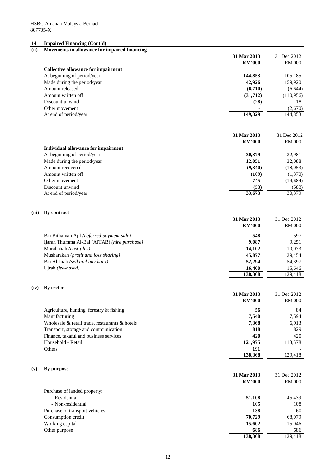# **14 Impaired Financing (Cont'd)**

| (ii)  | Movements in allowance for impaired financing  |               |               |
|-------|------------------------------------------------|---------------|---------------|
|       |                                                | 31 Mar 2013   | 31 Dec 2012   |
|       |                                                | <b>RM'000</b> | <b>RM'000</b> |
|       | <b>Collective allowance for impairment</b>     |               |               |
|       | At beginning of period/year                    | 144,853       | 105,185       |
|       | Made during the period/year                    | 42,926        | 159,920       |
|       | Amount released                                | (6,710)       | (6, 644)      |
|       | Amount written off                             | (31,712)      | (110,956)     |
|       | Discount unwind                                | (28)          | 18            |
|       | Other movement                                 |               | (2,670)       |
|       | At end of period/year                          | 149,329       | 144,853       |
|       |                                                |               |               |
|       |                                                | 31 Mar 2013   |               |
|       |                                                |               | 31 Dec 2012   |
|       |                                                | <b>RM'000</b> | <b>RM'000</b> |
|       | <b>Individual allowance for impairment</b>     |               |               |
|       | At beginning of period/year                    | 30,379        | 32,981        |
|       | Made during the period/year                    | 12,051        | 32,088        |
|       | Amount recovered                               | (9,340)       | (18,053)      |
|       | Amount written off                             | (109)         | (1,370)       |
|       | Other movement                                 | 745           | (14, 684)     |
|       | Discount unwind                                | (53)          | (583)         |
|       | At end of period/year                          | 33,673        | 30,379        |
| (iii) | <b>By contract</b>                             |               |               |
|       |                                                | 31 Mar 2013   | 31 Dec 2012   |
|       |                                                | <b>RM'000</b> | <b>RM'000</b> |
|       | Bai Bithaman Ajil (deferred payment sale)      | 548           | 597           |
|       | Ijarah Thumma Al-Bai (AITAB) (hire purchase)   | 9,087         | 9,251         |
|       | Murabahah (cost-plus)                          | 14,102        | 10,073        |
|       | Musharakah (profit and loss sharing)           | 45,877        | 39,454        |
|       | Bai Al-Inah (sell and buy back)                | 52,294        | 54,397        |
|       | Ujrah (fee-based)                              | 16,460        | 15,646        |
|       |                                                | 138,368       | 129,418       |
| (iv)  | By sector                                      |               |               |
|       |                                                | 31 Mar 2013   | 31 Dec 2012   |
|       |                                                | <b>RM'000</b> | <b>RM'000</b> |
|       | Agriculture, hunting, forestry $\&$ fishing    | 56            | 84            |
|       | Manufacturing                                  | 7,540         | 7,594         |
|       | Wholesale & retail trade, restaurants & hotels | 7,368         | 6,913         |
|       | Transport, storage and communication           | 818           | 829           |
|       | Finance, takaful and business services         | 420           | 420           |
|       | Household - Retail                             | 121,975       | 113,578       |
|       | Others                                         | 191           |               |
|       |                                                | 138,368       | 129,418       |
|       |                                                |               |               |
| (v)   | By purpose                                     | 31 Mar 2013   | 31 Dec 2012   |
|       |                                                | <b>RM'000</b> | <b>RM'000</b> |
|       | Purchase of landed property:                   |               |               |
|       | - Residential                                  | 51,108        | 45,439        |
|       | - Non-residential                              | 105           | 108           |
|       | Purchase of transport vehicles                 | 138           | 60            |
|       | Consumption credit                             | 70,729        | 68,079        |
|       | Working capital                                | 15,602        | 15,046        |
|       | Other purpose                                  | 686           | 686           |
|       |                                                | 138,368       | 129,418       |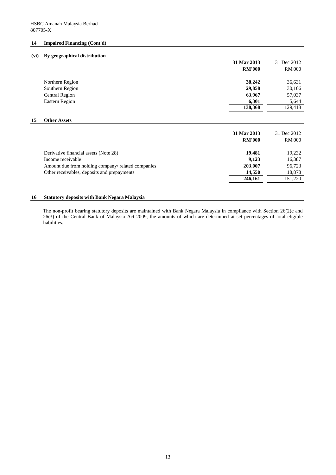## **14 Impaired Financing (Cont'd)**

## **(vi) By geographical distribution**

|    |                       | 31 Mar 2013<br><b>RM'000</b> | 31 Dec 2012<br><b>RM'000</b>  |
|----|-----------------------|------------------------------|-------------------------------|
|    | Northern Region       | 38,242                       | 36,631                        |
|    | Southern Region       | 29,858                       | 30,106                        |
|    | <b>Central Region</b> | 63,967                       | 57,037                        |
|    | <b>Eastern Region</b> | 6,301                        | 5,644                         |
|    |                       | 138,368                      | 129,418                       |
| 15 | <b>Other Assets</b>   |                              |                               |
|    |                       | 31 Mar 2013<br>DATIOOO       | 31 Dec 2012<br>$D M N \Omega$ |

|                                                    | <b>RM'000</b> | <b>RM'000</b> |
|----------------------------------------------------|---------------|---------------|
| Derivative financial assets (Note 28)              | 19,481        | 19,232        |
| Income receivable                                  | 9,123         | 16,387        |
| Amount due from holding company/ related companies | 203,007       | 96,723        |
| Other receivables, deposits and prepayments        | 14,550        | 18,878        |
|                                                    | 246,161       | 151,220       |
|                                                    |               |               |

## **16 Statutory deposits with Bank Negara Malaysia**

The non-profit bearing statutory deposits are maintained with Bank Negara Malaysia in compliance with Section 26(2)c and 26(3) of the Central Bank of Malaysia Act 2009, the amounts of which are determined at set percentages of total eligible liabilities.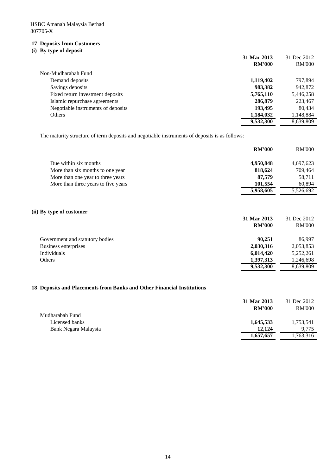# **17 Deposits from Customers**

# **(i) By type of deposit**

|                                    | 31 Mar 2013<br><b>RM'000</b> | 31 Dec 2012<br><b>RM'000</b> |
|------------------------------------|------------------------------|------------------------------|
| Non-Mudharabah Fund                |                              |                              |
| Demand deposits                    | 1,119,402                    | 797,894                      |
| Savings deposits                   | 983,382                      | 942,872                      |
| Fixed return investment deposits   | 5,765,110                    | 5,446,258                    |
| Islamic repurchase agreements      | 286,879                      | 223,467                      |
| Negotiable instruments of deposits | 193,495                      | 80,434                       |
| Others                             | 1,184,032                    | 1,148,884                    |
|                                    | 9,532,300                    | 8,639,809                    |

The maturity structure of term deposits and negotiable instruments of deposits is as follows:

|                                     | <b>RM'000</b> | <b>RM'000</b> |
|-------------------------------------|---------------|---------------|
| Due within six months               | 4,950,848     | 4,697,623     |
| More than six months to one year    | 818,624       | 709,464       |
| More than one year to three years   | 87,579        | 58,711        |
| More than three years to five years | 101,554       | 60,894        |
|                                     | 5,958,605     | 5,526,692     |

# **(ii) By type of customer**

|                                 | 31 Mar 2013   | 31 Dec 2012   |
|---------------------------------|---------------|---------------|
|                                 | <b>RM'000</b> | <b>RM'000</b> |
| Government and statutory bodies | 90,251        | 86,997        |
| Business enterprises            | 2,030,316     | 2,053,853     |
| Individuals                     | 6,014,420     | 5,252,261     |
| Others                          | 1,397,313     | 1,246,698     |
|                                 | 9,532,300     | 8,639,809     |

# **18 Deposits and Placements from Banks and Other Financial Institutions**

| Mudharabah Fund      | 31 Mar 2013<br><b>RM'000</b> | 31 Dec 2012<br><b>RM'000</b> |
|----------------------|------------------------------|------------------------------|
| Licensed banks       | 1,645,533                    | 1,753,541                    |
| Bank Negara Malaysia | 12,124                       | 9,775                        |
|                      | 1,657,657                    | 1,763,316                    |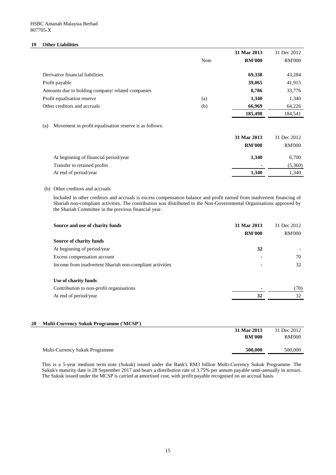## **19 Other Liabilities**

|                                                   |             | 31 Mar 2013   | 31 Dec 2012   |
|---------------------------------------------------|-------------|---------------|---------------|
|                                                   | <b>Note</b> | <b>RM'000</b> | <b>RM'000</b> |
|                                                   |             |               |               |
| Derivative financial liabilities                  |             | 69,338        | 43,284        |
| Profit payable                                    |             | 39,065        | 41,915        |
| Amounts due to holding company/ related companies |             | 8,786         | 33,776        |
| Profit equalisation reserve                       | (a)         | 1,340         | 1,340         |
| Other creditors and accruals                      | (b)         | 66,969        | 64,226        |
|                                                   |             | 185,498       | 184,541       |

## (a) Movement in profit equalisation reserve is as follows:

| 31 Mar 2013                           |                | 31 Dec 2012   |
|---------------------------------------|----------------|---------------|
| <b>RM'000</b>                         |                | <b>RM'000</b> |
| At beginning of financial period/year | 1,340          | 6,700         |
| Transfer to retained profits          | $\blacksquare$ | (5,360)       |
| At end of period/year                 | 1,340          | 1,340         |

## (b) Other creditors and accruals

Included in other creditors and accruals is excess compensation balance and profit earned from inadvertent financing of Shariah non-compliant activities. The contribution was distributed to the Non-Governmental Organisations approved by the Shariah Committee in the previous financial year.

| Source and use of charity funds                                  | 31 Mar 2013<br><b>RM'000</b> | 31 Dec 2012<br><b>RM'000</b> |
|------------------------------------------------------------------|------------------------------|------------------------------|
| <b>Source of charity funds</b>                                   |                              |                              |
| At beginning of period/year                                      | 32                           |                              |
| Excess compensation account                                      | $\blacksquare$               | 70                           |
| Income from inadvertent Shariah non-compliant activities         | $\blacksquare$               | 32                           |
| Use of charity funds<br>Contribution to non-profit organisations | ۰                            | (70)                         |
| At end of period/year                                            | 32                           | 32                           |

# **20 Multi-Currency Sukuk Programme ('MCSP')**

| <b>RM'000</b> | <b>RM'000</b> |
|---------------|---------------|
| 500,000       | 500,000       |
|               |               |

This is a 5-year medium term note (Sukuk) issued under the Bank's RM3 billion Multi-Currency Sukuk Programme. The Sukuk's maturity date is 28 September 2017 and bears a distribution rate of 3.75% per annum payable semi-annually in arrears. The Sukuk issued under the MCSP is carried at amortised cost, with profit payable recognised on an accrual basis.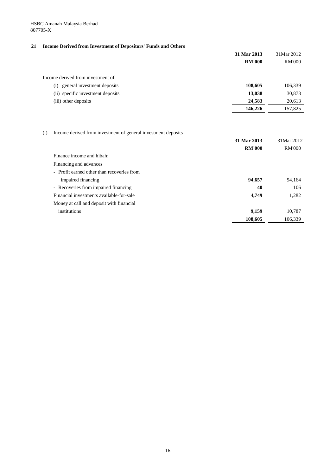# **21 Income Derived from Investment of Depositors' Funds and Others**

|                                                                                                   | 31 Mar 2013                  | 31Mar 2012                  |
|---------------------------------------------------------------------------------------------------|------------------------------|-----------------------------|
|                                                                                                   | <b>RM'000</b>                | <b>RM'000</b>               |
| Income derived from investment of:                                                                |                              |                             |
| general investment deposits<br>(i)                                                                | 108,605                      | 106,339                     |
| (ii) specific investment deposits                                                                 | 13,038                       | 30,873                      |
| (iii) other deposits                                                                              | 24,583                       | 20,613                      |
|                                                                                                   | 146,226                      | 157,825                     |
| Income derived from investment of general investment deposits<br>(i)<br>Finance income and hibah: | 31 Mar 2013<br><b>RM'000</b> | 31Mar 2012<br><b>RM'000</b> |
| Financing and advances                                                                            |                              |                             |
| - Profit earned other than recoveries from                                                        |                              |                             |
| impaired financing                                                                                | 94,657                       | 94,164                      |
| - Recoveries from impaired financing                                                              | 40                           | 106                         |
| Financial investments available-for-sale                                                          | 4,749                        | 1,282                       |
| Money at call and deposit with financial                                                          |                              |                             |
| institutions                                                                                      | 9,159                        | 10,787                      |
|                                                                                                   | 108,605                      | 106,339                     |
|                                                                                                   |                              |                             |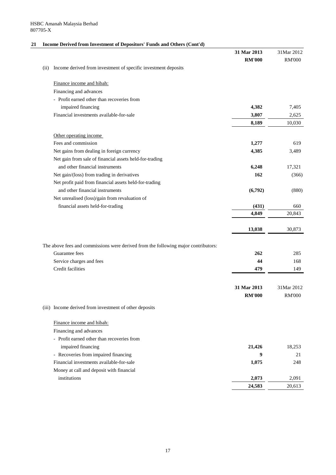# **21 Income Derived from Investment of Depositors' Funds and Others (Cont'd)**

| $\frac{1}{2}$ and $\frac{1}{2}$ and $\frac{1}{2}$ and $\frac{1}{2}$ and $\frac{1}{2}$ and $\frac{1}{2}$ and $\frac{1}{2}$ and $\frac{1}{2}$ and $\frac{1}{2}$ | 31 Mar 2013<br><b>RM'000</b> | 31Mar 2012<br><b>RM'000</b> |
|---------------------------------------------------------------------------------------------------------------------------------------------------------------|------------------------------|-----------------------------|
| Income derived from investment of specific investment deposits<br>(ii)                                                                                        |                              |                             |
| Finance income and hibah:                                                                                                                                     |                              |                             |
| Financing and advances                                                                                                                                        |                              |                             |
| - Profit earned other than recoveries from                                                                                                                    |                              |                             |
| impaired financing                                                                                                                                            | 4,382                        | 7,405                       |
| Financial investments available-for-sale                                                                                                                      | 3,807                        | 2,625                       |
|                                                                                                                                                               | 8,189                        | 10,030                      |
| Other operating income                                                                                                                                        |                              |                             |
| Fees and commission                                                                                                                                           | 1,277                        | 619                         |
| Net gains from dealing in foreign currency                                                                                                                    | 4,385                        | 3,489                       |
| Net gain from sale of financial assets held-for-trading                                                                                                       |                              |                             |
| and other financial instruments                                                                                                                               | 6,248                        | 17,321                      |
| Net gain/(loss) from trading in derivatives                                                                                                                   | 162                          | (366)                       |
| Net profit paid from financial assets held-for-trading                                                                                                        |                              |                             |
| and other financial instruments                                                                                                                               | (6,792)                      | (880)                       |
| Net unrealised (loss)/gain from revaluation of                                                                                                                |                              |                             |
| financial assets held-for-trading                                                                                                                             | (431)                        | 660                         |
|                                                                                                                                                               | 4,849                        | 20,843                      |
|                                                                                                                                                               | 13,038                       | 30,873                      |
| The above fees and commissions were derived from the following major contributors:                                                                            |                              |                             |
| Guarantee fees                                                                                                                                                | 262                          | 285                         |
| Service charges and fees                                                                                                                                      | 44                           | 168                         |
| <b>Credit facilities</b>                                                                                                                                      | 479                          | 149                         |
|                                                                                                                                                               |                              |                             |
|                                                                                                                                                               | 31 Mar 2013                  | 31Mar 2012                  |
|                                                                                                                                                               | <b>RM'000</b>                | <b>RM'000</b>               |
| (iii) Income derived from investment of other deposits                                                                                                        |                              |                             |
| Finance income and hibah:                                                                                                                                     |                              |                             |
| Financing and advances                                                                                                                                        |                              |                             |
| - Profit earned other than recoveries from                                                                                                                    |                              |                             |
| impaired financing                                                                                                                                            | 21,426                       | 18,253                      |
| - Recoveries from impaired financing                                                                                                                          | 9                            | 21                          |
| Financial investments available-for-sale                                                                                                                      | 1,075                        | 248                         |
| Money at call and deposit with financial                                                                                                                      |                              |                             |
| institutions                                                                                                                                                  | 2,073                        | 2,091                       |
|                                                                                                                                                               | 24,583                       | 20,613                      |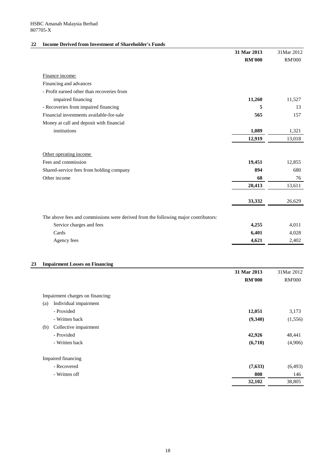# **22 Income Derived from Investment of Shareholder's Funds**

|                                                                                    | 31 Mar 2013<br><b>RM'000</b> | 31Mar 2012<br><b>RM'000</b> |
|------------------------------------------------------------------------------------|------------------------------|-----------------------------|
|                                                                                    |                              |                             |
| Finance income:                                                                    |                              |                             |
| Financing and advances                                                             |                              |                             |
| - Profit earned other than recoveries from                                         |                              |                             |
| impaired financing                                                                 | 11,260                       | 11,527                      |
| - Recoveries from impaired financing                                               | 5                            | 13                          |
| Financial investments available-for-sale                                           | 565                          | 157                         |
| Money at call and deposit with financial                                           |                              |                             |
| institutions                                                                       | 1,089                        | 1,321                       |
|                                                                                    | 12,919                       | 13,018                      |
| Other operating income                                                             |                              |                             |
| Fees and commission                                                                | 19,451                       | 12,855                      |
| Shared-service fees from holding company                                           | 894                          | 680                         |
| Other income                                                                       | 68                           | 76                          |
|                                                                                    | 20,413                       | 13,611                      |
|                                                                                    | 33,332                       | 26,629                      |
| The above fees and commissions were derived from the following major contributors: |                              |                             |
| Service charges and fees                                                           | 4,255                        | 4,011                       |
| Cards                                                                              | 6,401                        | 4,028                       |
| Agency fees                                                                        | 4,621                        | 2,402                       |
| <b>Impairment Losses on Financing</b>                                              |                              |                             |
|                                                                                    | 31 Mar 2013                  | 31Mar 2012                  |
|                                                                                    | <b>RM'000</b>                | <b>RM'000</b>               |
| Impairment charges on financing:                                                   |                              |                             |
| Individual impairment<br>(a)                                                       |                              |                             |
| - Provided                                                                         | 12,051                       | 3,173                       |
| - Written back                                                                     | (9,340)                      | (1,556)                     |
| Collective impairment<br>(b)                                                       |                              |                             |
| - Provided                                                                         | 42,926                       | 48,441                      |
| - Written back                                                                     |                              |                             |
|                                                                                    | (6,710)                      |                             |
| Impaired financing                                                                 |                              |                             |
| - Recovered                                                                        | (7, 633)                     |                             |
| - Written off                                                                      | 808                          | (4,906)<br>(6, 493)<br>146  |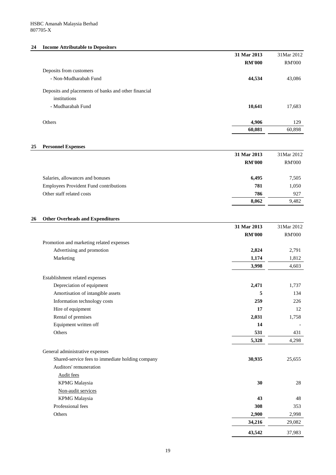# **24 Income Attributable to Depositors**

|    |                                                      | 31 Mar 2013   | 31Mar 2012    |
|----|------------------------------------------------------|---------------|---------------|
|    |                                                      | <b>RM'000</b> | <b>RM'000</b> |
|    | Deposits from customers                              |               |               |
|    | - Non-Mudharabah Fund                                | 44,534        | 43,086        |
|    | Deposits and placements of banks and other financial |               |               |
|    | institutions                                         |               |               |
|    | - Mudharabah Fund                                    | 10,641        | 17,683        |
|    | Others                                               | 4,906         | 129           |
|    |                                                      | 60,081        | 60,898        |
|    |                                                      |               |               |
| 25 | <b>Personnel Expenses</b>                            | 31 Mar 2013   | 31Mar 2012    |
|    |                                                      | <b>RM'000</b> | <b>RM'000</b> |
|    | Salaries, allowances and bonuses                     | 6,495         | 7,505         |
|    | <b>Employees Provident Fund contributions</b>        | 781           | 1,050         |
|    | Other staff related costs                            | 786           | 927           |
|    |                                                      | 8,062         | 9,482         |
|    |                                                      |               |               |
| 26 | <b>Other Overheads and Expenditures</b>              | 31 Mar 2013   | 31Mar 2012    |
|    |                                                      | <b>RM'000</b> | <b>RM'000</b> |
|    | Promotion and marketing related expenses             |               |               |
|    | Advertising and promotion                            | 2,824         | 2,791         |
|    | Marketing                                            | 1,174         | 1,812         |
|    |                                                      | 3,998         | 4,603         |
|    | Establishment related expenses                       |               |               |
|    | Depreciation of equipment                            | 2,471         | 1,737         |
|    | Amortisation of intangible assets                    | 5             | 134           |
|    | Information technology costs                         | 259           | 226           |
|    | Hire of equipment                                    | 17            | 12            |
|    | Rental of premises                                   | 2,031         | 1,758         |
|    | Equipment written off                                | 14            |               |
|    | Others                                               | 531           | 431           |
|    |                                                      | 5,328         | 4,298         |
|    | General administrative expenses                      |               |               |
|    | Shared-service fees to immediate holding company     | 30,935        | 25,655        |
|    | Auditors' remuneration                               |               |               |
|    | <b>Audit fees</b>                                    |               |               |
|    | <b>KPMG</b> Malaysia                                 | 30            | 28            |
|    | Non-audit services                                   |               |               |
|    | <b>KPMG</b> Malaysia                                 | 43            | 48            |
|    | Professional fees                                    | 308           | 353           |
|    | Others                                               | 2,900         | 2,998         |
|    |                                                      | 34,216        | 29,082        |
|    |                                                      | 43,542        | 37,983        |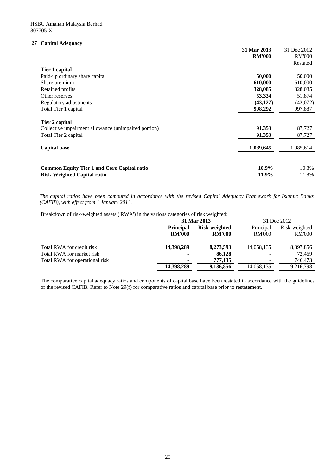# **27 Capital Adequacy**

|                                                      | 31 Mar 2013   | 31 Dec 2012   |
|------------------------------------------------------|---------------|---------------|
|                                                      | <b>RM'000</b> | <b>RM'000</b> |
|                                                      |               | Restated      |
| Tier 1 capital                                       |               |               |
| Paid-up ordinary share capital                       | 50,000        | 50,000        |
| Share premium                                        | 610,000       | 610,000       |
| Retained profits                                     | 328,085       | 328,085       |
| Other reserves                                       | 53,334        | 51,874        |
| Regulatory adjustments                               | (43, 127)     | (42,072)      |
| Total Tier 1 capital                                 | 998,292       | 997,887       |
| Tier 2 capital                                       |               |               |
| Collective impairment allowance (unimpaired portion) | 91,353        | 87,727        |
| Total Tier 2 capital                                 | 91,353        | 87,727        |
| <b>Capital base</b>                                  | 1,089,645     | 1,085,614     |
|                                                      |               |               |
| <b>Common Equity Tier 1 and Core Capital ratio</b>   | 10.9%         | 10.8%         |
| <b>Risk-Weighted Capital ratio</b>                   | 11.9%         | 11.8%         |

The capital ratios have been computed in accordance with the revised Capital Adequacy Framework for Islamic Banks *(CAFIB), with effect from 1 January 2013.*

Breakdown of risk-weighted assets ('RWA') in the various categories of risk weighted:

|                                | 31 Mar 2013      |                      | 31 Dec 2012   |               |
|--------------------------------|------------------|----------------------|---------------|---------------|
|                                | <b>Principal</b> | <b>Risk-weighted</b> | Principal     | Risk-weighted |
|                                | <b>RM'000</b>    | <b>RM'000</b>        | <b>RM'000</b> | <b>RM'000</b> |
| Total RWA for credit risk      | 14,398,289       | 8,273,593            | 14,058,135    | 8,397,856     |
| Total RWA for market risk      | $\blacksquare$   | 86,128               |               | 72,469        |
| Total RWA for operational risk | $\blacksquare$   | 777,135              |               | 746,473       |
|                                | 14,398,289       | 9,136,856            | 14,058,135    | 9,216,798     |

The comparative capital adequacy ratios and components of capital base have been restated in accordance with the guidelines of the revised CAFIB. Refer to Note 29(f) for comparative ratios and capital base prior to restatement.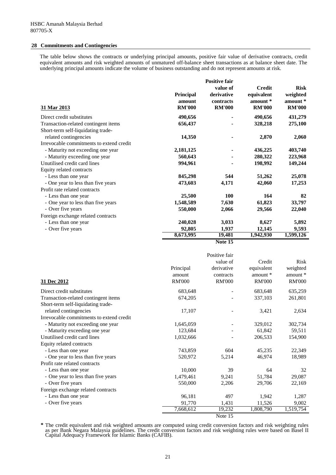## **28 Commitments and Contingencies**

The table below shows the contracts or underlying principal amounts, positive fair value of derivative contracts, credit equivalent amounts and risk weighted amounts of unmatured off-balance sheet transactions as at balance sheet date. The underlying principal amounts indicate the volume of business outstanding and do not represent amounts at risk.

|                                          |               | <b>Positive fair</b> |               |               |
|------------------------------------------|---------------|----------------------|---------------|---------------|
|                                          |               | value of             | <b>Credit</b> | <b>Risk</b>   |
|                                          | Principal     | derivative           | equivalent    | weighted      |
|                                          | amount        | contracts            | amount *      | amount *      |
| 31 Mar 2013                              | <b>RM'000</b> | <b>RM'000</b>        | <b>RM'000</b> | <b>RM'000</b> |
| Direct credit substitutes                | 490,656       |                      | 490,656       | 431,279       |
| Transaction-related contingent items     | 656,437       |                      | 328,218       | 275,100       |
| Short-term self-liquidating trade-       |               |                      |               |               |
| related contingencies                    | 14,350        |                      | 2,870         | 2,060         |
| Irrevocable commitments to extend credit |               |                      |               |               |
| - Maturity not exceeding one year        | 2,181,125     |                      | 436,225       | 403,740       |
| - Maturity exceeding one year            | 560,643       |                      | 280,322       | 223,968       |
| Unutilised credit card lines             | 994,961       |                      | 198,992       | 149,244       |
| Equity related contracts                 |               |                      |               |               |
| - Less than one year                     | 845,298       | 544                  | 51,262        | 25,078        |
| - One year to less than five years       | 473,603       | 4,171                | 42,060        | 17,253        |
| Profit rate related contracts            |               |                      |               |               |
| - Less than one year                     | 25,500        | <b>100</b>           | 164           | 82            |
| - One year to less than five years       | 1,548,589     | 7,630                | 61,823        | 33,797        |
| - Over five years                        | 550,000       | 2,066                | 29,566        | 22,040        |
| Foreign exchange related contracts       |               |                      |               |               |
| - Less than one year                     | 240,028       | 3,033                | 8,627         | 5,892         |
| - Over five years                        | 92,805        | 1,937                | 12,145        | 9,593         |
|                                          | 8,673,995     | 19,481               | 1,942,930     | 1,599,126     |

**Note 15**

| 31 Dec 2012                              | Principal<br>amount<br><b>RM'000</b> | Positive fair<br>value of<br>derivative<br>contracts<br><b>RM'000</b> | Credit<br>equivalent<br>amount *<br><b>RM'000</b> | <b>Risk</b><br>weighted<br>amount *<br><b>RM'000</b> |
|------------------------------------------|--------------------------------------|-----------------------------------------------------------------------|---------------------------------------------------|------------------------------------------------------|
| Direct credit substitutes                | 683,648                              |                                                                       | 683,648                                           | 635,259                                              |
| Transaction-related contingent items     | 674,205                              |                                                                       | 337,103                                           | 261,801                                              |
| Short-term self-liquidating trade-       |                                      |                                                                       |                                                   |                                                      |
| related contingencies                    | 17,107                               |                                                                       | 3,421                                             | 2,634                                                |
| Irrevocable commitments to extend credit |                                      |                                                                       |                                                   |                                                      |
| - Maturity not exceeding one year        | 1,645,059                            |                                                                       | 329,012                                           | 302,734                                              |
| - Maturity exceeding one year            | 123,684                              |                                                                       | 61,842                                            | 59,511                                               |
| Unutilised credit card lines             | 1,032,666                            |                                                                       | 206,533                                           | 154,900                                              |
| Equity related contracts                 |                                      |                                                                       |                                                   |                                                      |
| - Less than one year                     | 743,859                              | 604                                                                   | 45,235                                            | 22,349                                               |
| - One year to less than five years       | 520,972                              | 5,214                                                                 | 46,974                                            | 18,989                                               |
| Profit rate related contracts            |                                      |                                                                       |                                                   |                                                      |
| - Less than one year                     | 10,000                               | 39                                                                    | 64                                                | 32                                                   |
| - One year to less than five years       | 1,479,461                            | 9,241                                                                 | 51,784                                            | 29,087                                               |
| - Over five years                        | 550,000                              | 2,206                                                                 | 29,706                                            | 22,169                                               |
| Foreign exchange related contracts       |                                      |                                                                       |                                                   |                                                      |
| - Less than one year                     | 96,181                               | 497                                                                   | 1,942                                             | 1,287                                                |
| - Over five years                        | 91,770                               | 1,431                                                                 | 11,526                                            | 9,002                                                |
|                                          | 7,668,612                            | 19,232                                                                | 1,808,790                                         | 1,519,754                                            |
|                                          |                                      | Note 15                                                               |                                                   |                                                      |

**\*** The credit equivalent and risk weighted amounts are computed using credit conversion factors and risk weighting rules as per Bank Negara Malaysia guidelines. The credit conversion factors and risk weighting rules were based on Basel II Capital Adequacy Framework for Islamic Banks (CAFIB).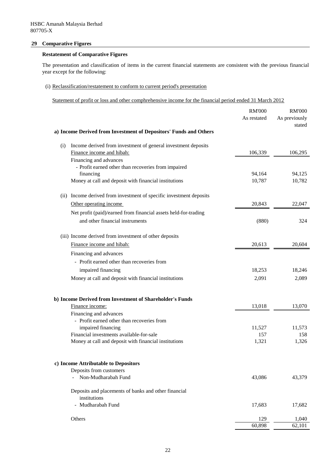## **29 Comparative Figures**

# **Restatement of Comparative Figures**

The presentation and classification of items in the current financial statements are consistent with the previous financial year except for the following:

# (i) Reclassification/restatement to conform to current period's presentation

Statement of profit or loss and other comphrehensive income for the financial period ended 31 March 2012

|                                                                        | <b>RM'000</b>    | <b>RM'000</b>           |
|------------------------------------------------------------------------|------------------|-------------------------|
|                                                                        | As restated      | As previously<br>stated |
| a) Income Derived from Investment of Depositors' Funds and Others      |                  |                         |
| Income derived from investment of general investment deposits<br>(i)   |                  |                         |
| Finance income and hibah:                                              | 106,339          | 106,295                 |
| Financing and advances                                                 |                  |                         |
| - Profit earned other than recoveries from impaired                    |                  |                         |
| financing<br>Money at call and deposit with financial institutions     | 94,164<br>10,787 | 94,125<br>10,782        |
|                                                                        |                  |                         |
| Income derived from investment of specific investment deposits<br>(ii) |                  |                         |
| Other operating income                                                 | 20,843           | 22,047                  |
| Net profit (paid)/earned from financial assets held-for-trading        |                  |                         |
| and other financial instruments                                        | (880)            | 324                     |
| (iii) Income derived from investment of other deposits                 |                  |                         |
| Finance income and hibah:                                              | 20,613           | 20,604                  |
| Financing and advances                                                 |                  |                         |
| - Profit earned other than recoveries from                             |                  |                         |
|                                                                        |                  |                         |
| impaired financing                                                     | 18,253           | 18,246                  |
| Money at call and deposit with financial institutions                  | 2,091            | 2,089                   |
| b) Income Derived from Investment of Shareholder's Funds               |                  |                         |
| Finance income:                                                        | 13,018           | 13,070                  |
| Financing and advances                                                 |                  |                         |
| - Profit earned other than recoveries from                             |                  |                         |
| impaired financing                                                     | 11,527           | 11,573                  |
| Financial investments available-for-sale                               | 157              | 158                     |
| Money at call and deposit with financial institutions                  | 1,321            | 1,326                   |
|                                                                        |                  |                         |
| c) Income Attributable to Depositors<br>Deposits from customers        |                  |                         |
| Non-Mudharabah Fund                                                    | 43,086           | 43,379                  |
|                                                                        |                  |                         |
| Deposits and placements of banks and other financial                   |                  |                         |
| institutions                                                           |                  |                         |
| - Mudharabah Fund                                                      | 17,683           | 17,682                  |
| Others                                                                 | 129              | 1,040                   |
|                                                                        | 60,898           | 62,101                  |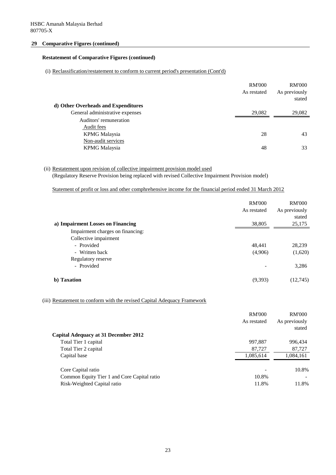## **29 Comparative Figures (continued)**

## **Restatement of Comparative Figures (continued)**

## (i) Reclassification/restatement to conform to current period's presentation (Cont'd)

|                                     | <b>RM'000</b> | <b>RM'000</b> |
|-------------------------------------|---------------|---------------|
|                                     | As restated   | As previously |
|                                     |               | stated        |
| d) Other Overheads and Expenditures |               |               |
| General administrative expenses     | 29,082        | 29,082        |
| Auditors' remuneration              |               |               |
| Audit fees                          |               |               |
| <b>KPMG</b> Malaysia                | 28            | 43            |
| Non-audit services                  |               |               |
| <b>KPMG</b> Malaysia                | 48            | 33            |
|                                     |               |               |

# (ii) Restatement upon revision of collective impairment provision model used

(Regulatory Reserve Provision being replaced with revised Collective Impairment Provision model)

Statement of profit or loss and other comphrehensive income for the financial period ended 31 March 2012

|                                   | <b>RM'000</b><br>As restated | <b>RM'000</b><br>As previously |
|-----------------------------------|------------------------------|--------------------------------|
|                                   |                              | stated                         |
| a) Impairment Losses on Financing | 38,805                       | 25,175                         |
| Impairment charges on financing:  |                              |                                |
| Collective impairment             |                              |                                |
| - Provided                        | 48,441                       | 28,239                         |
| - Written back                    | (4,906)                      | (1,620)                        |
| Regulatory reserve                |                              |                                |
| - Provided                        |                              | 3,286                          |
| b) Taxation                       | (9,393)                      | (12,745)                       |

# (iii) Restatement to conform with the revised Capital Adequacy Framework

|                                             | <b>RM'000</b><br>As restated | <b>RM'000</b><br>As previously |
|---------------------------------------------|------------------------------|--------------------------------|
| <b>Capital Adequacy at 31 December 2012</b> |                              | stated                         |
| Total Tier 1 capital                        | 997,887                      | 996,434                        |
| Total Tier 2 capital                        | 87,727                       | 87,727                         |
| Capital base                                | 1,085,614                    | 1,084,161                      |
| Core Capital ratio                          |                              | 10.8%                          |
| Common Equity Tier 1 and Core Capital ratio | 10.8%                        |                                |
| Risk-Weighted Capital ratio                 | 11.8%                        | 11.8%                          |